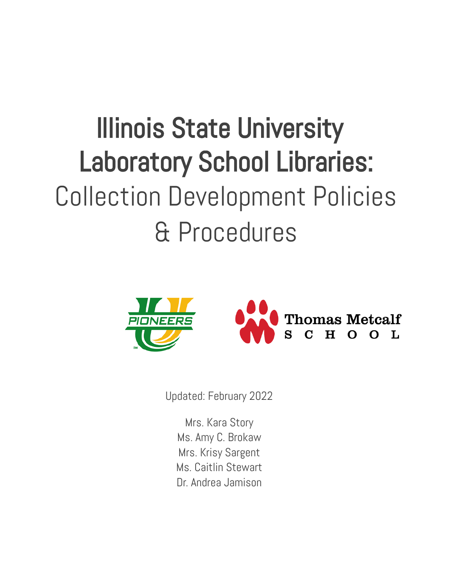# Illinois State University Laboratory School Libraries: Collection Development Policies & Procedures



Updated: February 2022

Mrs. Kara Story Ms. Amy C. Brokaw Mrs. Krisy Sargent Ms. Caitlin Stewart Dr. Andrea Jamison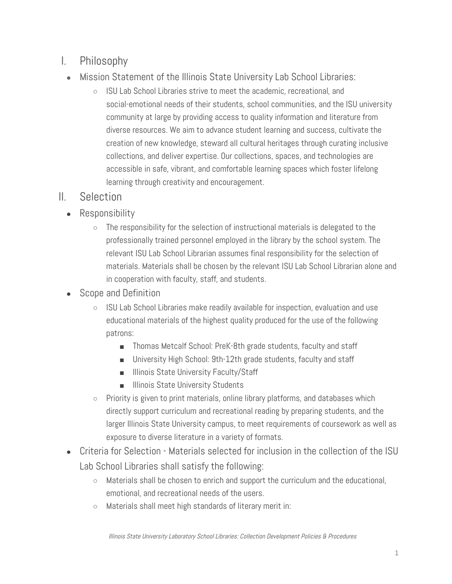## I. Philosophy

- Mission Statement of the Illinois State University Lab School Libraries:
	- ISU Lab School Libraries strive to meet the academic, recreational, and social-emotional needs of their students, school communities, and the ISU university community at large by providing access to quality information and literature from diverse resources. We aim to advance student learning and success, cultivate the creation of new knowledge, steward all cultural heritages through curating inclusive collections, and deliver expertise. Our collections, spaces, and technologies are accessible in safe, vibrant, and comfortable learning spaces which foster lifelong learning through creativity and encouragement.

## II. Selection

- Responsibility
	- The responsibility for the selection of instructional materials is delegated to the professionally trained personnel employed in the library by the school system. The relevant ISU Lab School Librarian assumes final responsibility for the selection of materials. Materials shall be chosen by the relevant ISU Lab School Librarian alone and in cooperation with faculty, staff, and students.
- Scope and Definition
	- ISU Lab School Libraries make readily available for inspection, evaluation and use educational materials of the highest quality produced for the use of the following patrons:
		- Thomas Metcalf School: PreK-8th grade students, faculty and staff
		- University High School: 9th-12th grade students, faculty and staff
		- Illinois State University Faculty/Staff
		- Illinois State University Students
	- $\circ$  Priority is given to print materials, online library platforms, and databases which directly support curriculum and recreational reading by preparing students, and the larger Illinois State University campus, to meet requirements of coursework as well as exposure to diverse literature in a variety of formats.
- Criteria for Selection Materials selected for inclusion in the collection of the ISU Lab School Libraries shall satisfy the following:
	- Materials shall be chosen to enrich and support the curriculum and the educational, emotional, and recreational needs of the users.
	- Materials shall meet high standards of literary merit in: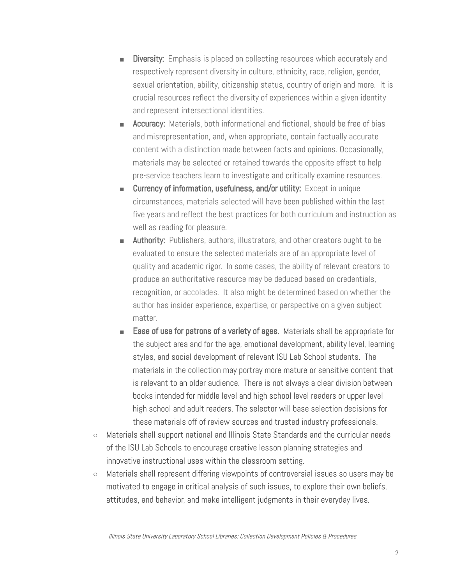- Diversity: Emphasis is placed on collecting resources which accurately and respectively represent diversity in culture, ethnicity, race, religion, gender, sexual orientation, ability, citizenship status, country of origin and more. It is crucial resources reflect the diversity of experiences within a given identity and represent intersectional identities.
- **Accuracy:** Materials, both informational and fictional, should be free of bias and misrepresentation, and, when appropriate, contain factually accurate content with a distinction made between facts and opinions. Occasionally, materials may be selected or retained towards the opposite effect to help pre-service teachers learn to investigate and critically examine resources.
- Currency of information, usefulness, and/or utility: Except in unique circumstances, materials selected will have been published within the last five years and reflect the best practices for both curriculum and instruction as well as reading for pleasure.
- **Authority:** Publishers, authors, illustrators, and other creators ought to be evaluated to ensure the selected materials are of an appropriate level of quality and academic rigor. In some cases, the ability of relevant creators to produce an authoritative resource may be deduced based on credentials, recognition, or accolades. It also might be determined based on whether the author has insider experience, expertise, or perspective on a given subject matter.
- Ease of use for patrons of a variety of ages. Materials shall be appropriate for the subject area and for the age, emotional development, ability level, learning styles, and social development of relevant ISU Lab School students. The materials in the collection may portray more mature or sensitive content that is relevant to an older audience. There is not always a clear division between books intended for middle level and high school level readers or upper level high school and adult readers. The selector will base selection decisions for these materials off of review sources and trusted industry professionals.
- Materials shall support national and Illinois State Standards and the curricular needs of the ISU Lab Schools to encourage creative lesson planning strategies and innovative instructional uses within the classroom setting.
- Materials shall represent differing viewpoints of controversial issues so users may be motivated to engage in critical analysis of such issues, to explore their own beliefs, attitudes, and behavior, and make intelligent judgments in their everyday lives.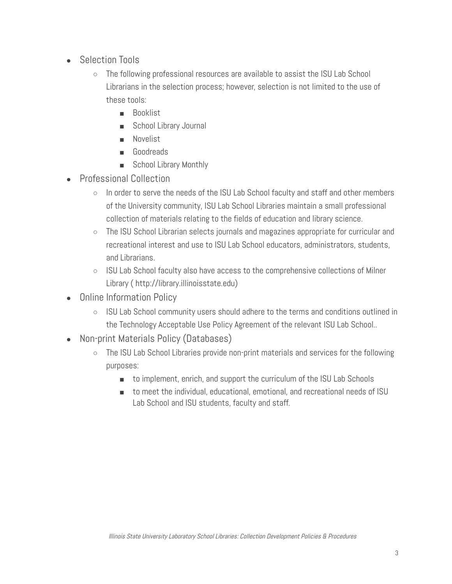- **Selection Tools** 
	- The following professional resources are available to assist the ISU Lab School Librarians in the selection process; however, selection is not limited to the use of these tools:
		- Booklist
		- School Library Journal
		- Novelist
		- Goodreads
		- School Library Monthly
- Professional Collection
	- In order to serve the needs of the ISU Lab School faculty and staff and other members of the University community, ISU Lab School Libraries maintain a small professional collection of materials relating to the fields of education and library science.
	- The ISU School Librarian selects journals and magazines appropriate for curricular and recreational interest and use to ISU Lab School educators, administrators, students, and Librarians.
	- ISU Lab School faculty also have access to the comprehensive collections of Milner Library ( [http://library.illinoisstate.edu](http://library.illinoisstate.edu/))
- **Online Information Policy** 
	- ISU Lab School community users should adhere to the terms and conditions outlined in the Technology Acceptable Use Policy Agreement of the relevant ISU Lab School..
- Non-print Materials Policy (Databases)
	- The ISU Lab School Libraries provide non-print materials and services for the following purposes:
		- to implement, enrich, and support the curriculum of the ISU Lab Schools
		- to meet the individual, educational, emotional, and recreational needs of ISU Lab School and ISU students, faculty and staff.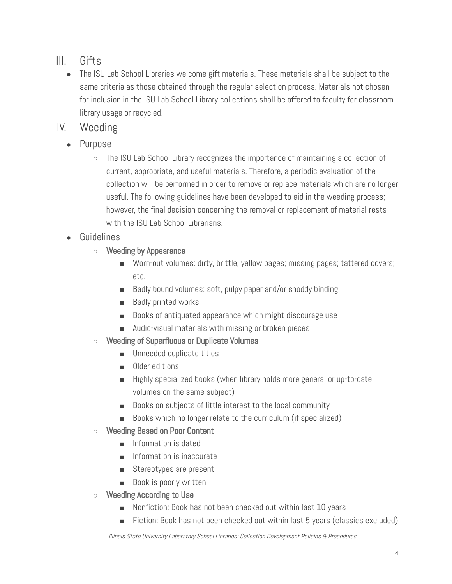## III. Gifts

- The ISU Lab School Libraries welcome gift materials. These materials shall be subject to the same criteria as those obtained through the regular selection process. Materials not chosen for inclusion in the ISU Lab School Library collections shall be offered to faculty for classroom library usage or recycled.
- IV. Weeding
	- Purpose
		- The ISU Lab School Library recognizes the importance of maintaining a collection of current, appropriate, and useful materials. Therefore, a periodic evaluation of the collection will be performed in order to remove or replace materials which are no longer useful. The following guidelines have been developed to aid in the weeding process; however, the final decision concerning the removal or replacement of material rests with the ISU Lab School Librarians.
	- **Guidelines** 
		- **○** Weeding by Appearance
			- Worn-out volumes: dirty, brittle, yellow pages; missing pages; tattered covers; etc.
			- Badly bound volumes: soft, pulpy paper and/or shoddy binding
			- Badly printed works
			- Books of antiquated appearance which might discourage use
			- Audio-visual materials with missing or broken pieces
		- **○** Weeding of Superfluous or Duplicate Volumes
			- Unneeded duplicate titles
			- Older editions
			- Highly specialized books (when library holds more general or up-to-date volumes on the same subject)
			- Books on subjects of little interest to the local community
			- Books which no longer relate to the curriculum (if specialized)
		- **○** Weeding Based on Poor Content
			- Information is dated
			- Information is inaccurate
			- Stereotypes are present
			- Book is poorly written
		- **○** Weeding According to Use
			- Nonfiction: Book has not been checked out within last 10 years
			- Fiction: Book has not been checked out within last 5 years (classics excluded)

Illinois State University Laboratory School Libraries: Collection Development Policies & Procedures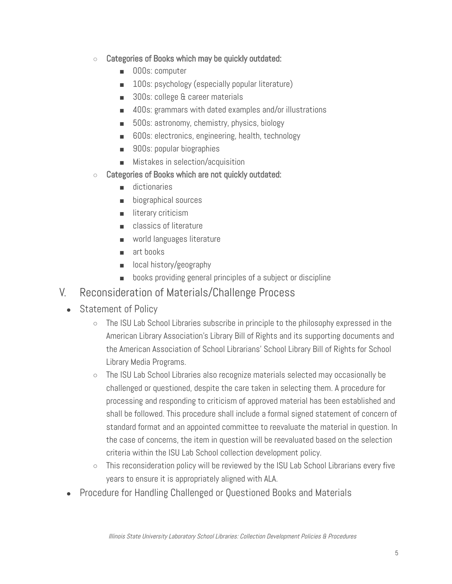- **○** Categories of Books which may be quickly outdated:
	- 000s: computer
	- 100s: psychology (especially popular literature)
	- 300s: college & career materials
	- 400s: grammars with dated examples and/or illustrations
	- 500s: astronomy, chemistry, physics, biology
	- 600s: electronics, engineering, health, technology
	- 900s: popular biographies
	- Mistakes in selection/acquisition
- **○** Categories of Books which are not quickly outdated:
	- dictionaries
	- biographical sources
	- literary criticism
	- **classics of literature**
	- world languages literature
	- art books
	- local history/geography
	- books providing general principles of a subject or discipline
- V. Reconsideration of Materials/Challenge Process
	- Statement of Policy
		- The ISU Lab School Libraries subscribe in principle to the philosophy expressed in the American Library Association's Library Bill of Rights and its supporting documents and the American Association of School Librarians' School Library Bill of Rights for School Library Media Programs.
		- The ISU Lab School Libraries also recognize materials selected may occasionally be challenged or questioned, despite the care taken in selecting them. A procedure for processing and responding to criticism of approved material has been established and shall be followed. This procedure shall include a formal signed statement of concern of standard format and an appointed committee to reevaluate the material in question. In the case of concerns, the item in question will be reevaluated based on the selection criteria within the ISU Lab School collection development policy.
		- This reconsideration policy will be reviewed by the ISU Lab School Librarians every five years to ensure it is appropriately aligned with ALA.
	- **Procedure for Handling Challenged or Questioned Books and Materials**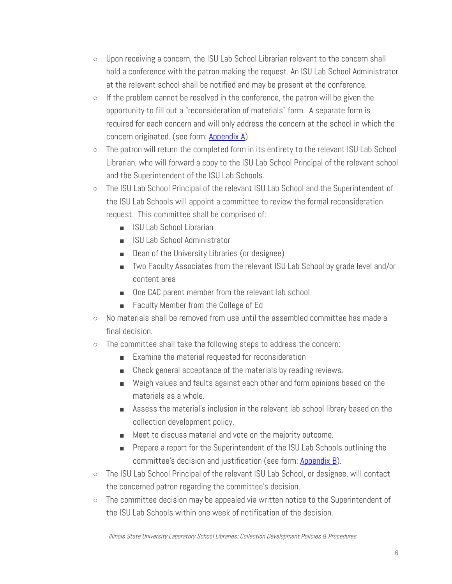- Upon receiving a concern, the ISU Lab School Librarian relevant to the concern shall hold a conference with the patron making the request. An ISU Lab School Administrator at the relevant school shall be notified and may be present at the conference.
- If the problem cannot be resolved in the conference, the patron will be given the opportunity to fill out a "reconsideration of materials" form. A separate form is required for each concern and will only address the concern at the school in which the concern originated. (see form: [Appendix A](https://docs.google.com/document/d/1p7CvUDWcPSgZcP_Z8eQ0pJodp7K0hebL3-jU4mNxZVc/edit?usp=sharing))
- The patron will return the completed form in its entirety to the relevant ISU Lab School Librarian, who will forward a copy to the ISU Lab School Principal of the relevant school and the Superintendent of the ISU Lab Schools.
- The ISU Lab School Principal of the relevant ISU Lab School and the Superintendent of the ISU Lab Schools will appoint a committee to review the formal reconsideration request. This committee shall be comprised of:
	- ISU Lab School Librarian
	- ISU Lab School Administrator
	- Dean of the University Libraries (or designee)
	- Two Faculty Associates from the relevant ISU Lab School by grade level and/or content area
	- One CAC parent member from the relevant lab school
	- Faculty Member from the College of Ed
- No materials shall be removed from use until the assembled committee has made a final decision.
- The committee shall take the following steps to address the concern:
	- Examine the material requested for reconsideration
	- Check general acceptance of the materials by reading reviews.
	- Weigh values and faults against each other and form opinions based on the materials as a whole.
	- Assess the material's inclusion in the relevant lab school library based on the collection development policy.
	- Meet to discuss material and vote on the majority outcome.
	- Prepare a report for the Superintendent of the ISU Lab Schools outlining the committee's decision and justification (see form: [Appendix B](https://docs.google.com/document/d/1CmLbqVycqbm77OQGRo-gXkz8MiHZPlbZROO8G9Mbdrs/edit?usp=sharing)).
- The ISU Lab School Principal of the relevant ISU Lab School, or designee, will contact the concerned patron regarding the committee's decision.
- The committee decision may be appealed via written notice to the Superintendent of the ISU Lab Schools within one week of notification of the decision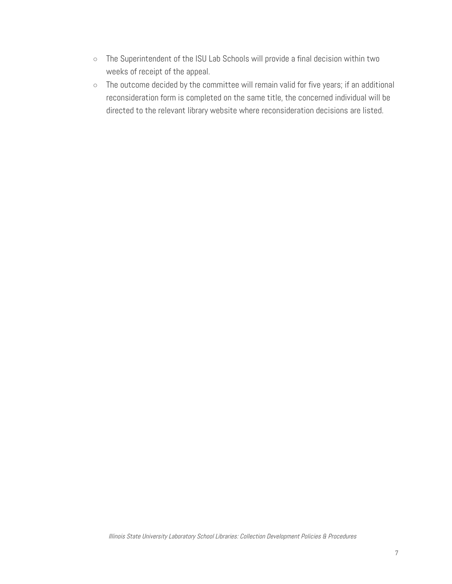- The Superintendent of the ISU Lab Schools will provide a final decision within two weeks of receipt of the appeal.
- The outcome decided by the committee will remain valid for five years; if an additional reconsideration form is completed on the same title, the concerned individual will be directed to the relevant library website where reconsideration decisions are listed.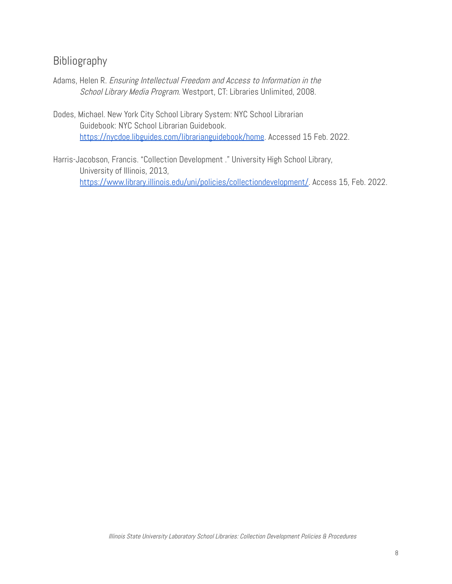#### Bibliography

- Adams, Helen R. Ensuring Intellectual Freedom and Access to Information in the School Library Media Program. Westport, CT: Libraries Unlimited, 2008.
- Dodes, Michael. New York City School Library System: NYC School Librarian Guidebook: NYC School Librarian Guidebook. <https://nycdoe.libguides.com/librarianguidebook/home>. Accessed 15 Feb. 2022.
- Harris-Jacobson, Francis. "Collection Development ." University High School Library, University of Illinois, 2013, <https://www.library.illinois.edu/uni/policies/collectiondevelopment/>. Access 15, Feb. 2022.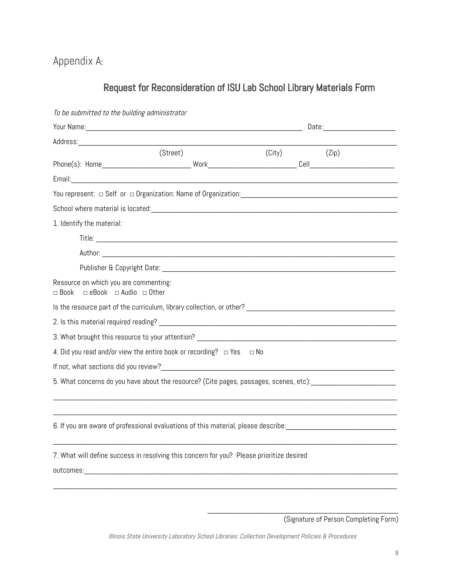Appendix A:

## Request for Reconsideration of ISU Lab School Library Materials Form

| To be submitted to the building administrator                           |                                                                                                                |                          |  |  |
|-------------------------------------------------------------------------|----------------------------------------------------------------------------------------------------------------|--------------------------|--|--|
|                                                                         |                                                                                                                | Date: __________________ |  |  |
|                                                                         |                                                                                                                |                          |  |  |
|                                                                         | (Street)                                                                                                       | $(City)$ $(Zip)$         |  |  |
|                                                                         |                                                                                                                |                          |  |  |
|                                                                         |                                                                                                                |                          |  |  |
|                                                                         |                                                                                                                |                          |  |  |
|                                                                         |                                                                                                                |                          |  |  |
| 1. Identify the material:                                               |                                                                                                                |                          |  |  |
|                                                                         |                                                                                                                |                          |  |  |
|                                                                         |                                                                                                                |                          |  |  |
|                                                                         |                                                                                                                |                          |  |  |
| Resource on which you are commenting:<br>□ Book □ eBook □ Audio □ Other |                                                                                                                |                          |  |  |
|                                                                         |                                                                                                                |                          |  |  |
|                                                                         |                                                                                                                |                          |  |  |
|                                                                         |                                                                                                                |                          |  |  |
|                                                                         | 4. Did you read and/or view the entire book or recording? $\Box$ Yes $\Box$ No                                 |                          |  |  |
|                                                                         |                                                                                                                |                          |  |  |
|                                                                         | 5. What concerns do you have about the resource? (Cite pages, passages, scenes, etc): _______________________  |                          |  |  |
|                                                                         |                                                                                                                |                          |  |  |
|                                                                         | 6. If you are aware of professional evaluations of this material, please describe: ___________________________ |                          |  |  |
|                                                                         | 7. What will define success in resolving this concern for you? Please prioritize desired                       |                          |  |  |
|                                                                         |                                                                                                                |                          |  |  |
|                                                                         |                                                                                                                |                          |  |  |

\_\_\_\_\_\_\_\_\_\_\_\_\_\_\_\_\_\_\_\_\_\_\_\_\_\_\_\_\_\_\_\_\_\_\_\_\_\_\_\_\_\_\_\_\_

<sup>(</sup>Signature of Person Completing Form)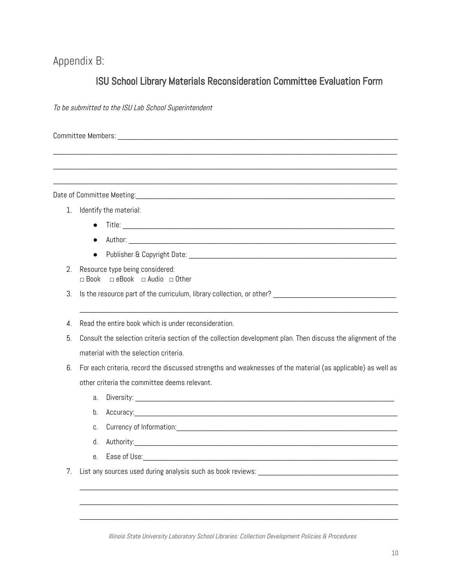#### Appendix B:

#### ISU School Library Materials Reconsideration Committee Evaluation Form

\_\_\_\_\_\_\_\_\_\_\_\_\_\_\_\_\_\_\_\_\_\_\_\_\_\_\_\_\_\_\_\_\_\_\_\_\_\_\_\_\_\_\_\_\_\_\_\_\_\_\_\_\_\_\_\_\_\_\_\_\_\_\_\_\_\_\_\_\_\_\_\_\_\_\_\_\_\_\_\_\_

\_\_\_\_\_\_\_\_\_\_\_\_\_\_\_\_\_\_\_\_\_\_\_\_\_\_\_\_\_\_\_\_\_\_\_\_\_\_\_\_\_\_\_\_\_\_\_\_\_\_\_\_\_\_\_\_\_\_\_\_\_\_\_\_\_\_\_\_\_\_\_\_\_\_\_\_\_\_\_\_\_

\_\_\_\_\_\_\_\_\_\_\_\_\_\_\_\_\_\_\_\_\_\_\_\_\_\_\_\_\_\_\_\_\_\_\_\_\_\_\_\_\_\_\_\_\_\_\_\_\_\_\_\_\_\_\_\_\_\_\_\_\_\_\_\_\_\_\_\_\_\_\_\_\_\_\_\_\_\_\_\_\_

To be submitted to the ISU Lab School Superintendent

Committee Members: \_\_\_\_\_\_\_\_\_\_\_\_\_\_\_\_\_\_\_\_\_\_\_\_\_\_\_\_\_\_\_\_\_\_\_\_\_\_\_\_\_\_\_\_\_\_\_\_\_\_\_\_\_\_\_\_\_\_\_\_\_\_\_\_\_\_

Date of Committee Meeting: which is a set of committee  $\lambda$ 

- 1. Identify the material:
	- $\bullet$  Title:
	- $\bullet$  Author:
	- Publisher & Copyright Date: \_\_\_\_\_\_\_\_\_\_\_\_\_\_\_\_\_\_\_\_\_\_\_\_\_\_\_\_\_\_\_\_\_\_\_\_\_\_\_\_\_\_\_\_\_\_\_\_\_
- 2. Resource type being considered: □ Book □ eBook □ Audio □ Other
- 3. Is the resource part of the curriculum, library collection, or other?
- 4. Read the entire book which is under reconsideration.
- 5. Consult the selection criteria section of the collection development plan. Then discuss the alignment of the material with the selection criteria.

\_\_\_\_\_\_\_\_\_\_\_\_\_\_\_\_\_\_\_\_\_\_\_\_\_\_\_\_\_\_\_\_\_\_\_\_\_\_\_\_\_\_\_\_\_\_\_\_\_\_\_\_\_\_\_\_\_\_\_\_\_\_\_\_\_\_\_\_\_\_\_\_\_\_\_

- 6. For each criteria, record the discussed strengths and weaknesses of the material (as applicable) as well as other criteria the committee deems relevant.
	- a. Diversity: \_\_\_\_\_\_\_\_\_\_\_\_\_\_\_\_\_\_\_\_\_\_\_\_\_\_\_\_\_\_\_\_\_\_\_\_\_\_\_\_\_\_\_\_\_\_\_\_\_\_\_\_\_\_\_\_\_\_\_\_\_
	- b. Accuracy:\_\_\_\_\_\_\_\_\_\_\_\_\_\_\_\_\_\_\_\_\_\_\_\_\_\_\_\_\_\_\_\_\_\_\_\_\_\_\_\_\_\_\_\_\_\_\_\_\_\_\_\_\_\_\_\_\_\_\_\_\_\_
	- c. Currency of Information:
	- d. Authority:\_\_\_\_\_\_\_\_\_\_\_\_\_\_\_\_\_\_\_\_\_\_\_\_\_\_\_\_\_\_\_\_\_\_\_\_\_\_\_\_\_\_\_\_\_\_\_\_\_\_\_\_\_\_\_\_\_\_\_\_\_\_

\_\_\_\_\_\_\_\_\_\_\_\_\_\_\_\_\_\_\_\_\_\_\_\_\_\_\_\_\_\_\_\_\_\_\_\_\_\_\_\_\_\_\_\_\_\_\_\_\_\_\_\_\_\_\_\_\_\_\_\_\_\_\_\_\_\_\_\_\_\_\_\_\_\_\_

\_\_\_\_\_\_\_\_\_\_\_\_\_\_\_\_\_\_\_\_\_\_\_\_\_\_\_\_\_\_\_\_\_\_\_\_\_\_\_\_\_\_\_\_\_\_\_\_\_\_\_\_\_\_\_\_\_\_\_\_\_\_\_\_\_\_\_\_\_\_\_\_\_\_\_

\_\_\_\_\_\_\_\_\_\_\_\_\_\_\_\_\_\_\_\_\_\_\_\_\_\_\_\_\_\_\_\_\_\_\_\_\_\_\_\_\_\_\_\_\_\_\_\_\_\_\_\_\_\_\_\_\_\_\_\_\_\_\_\_\_\_\_\_\_\_\_\_\_\_\_

- e. Ease of Use:
- 7. List any sources used during analysis such as book reviews: \_\_\_\_\_\_\_\_\_\_\_\_\_\_\_\_\_\_\_\_\_\_\_\_\_\_\_\_\_\_\_\_\_

Illinois State University Laboratory School Libraries: Collection Development Policies & Procedures